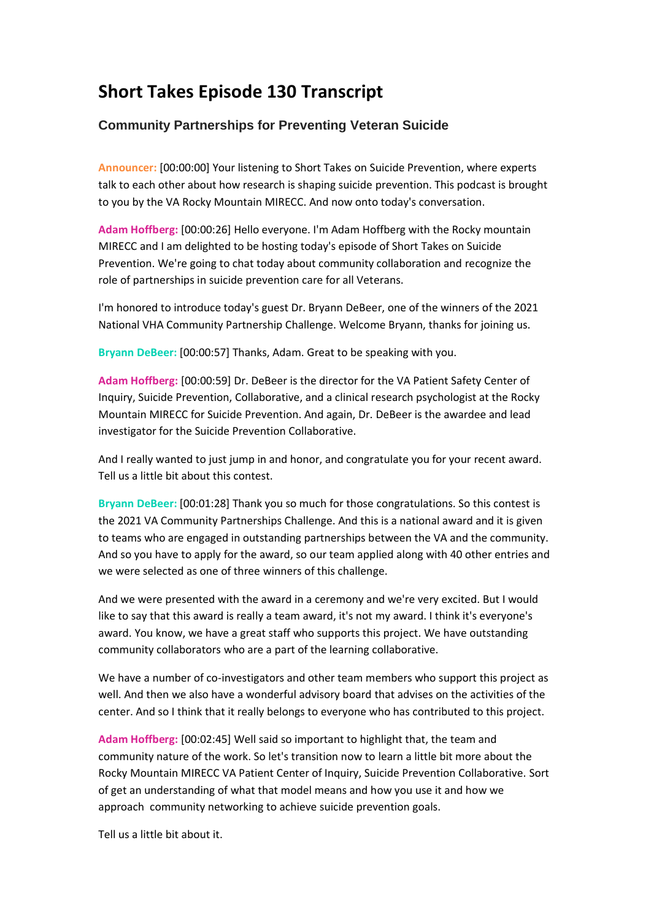## **Short Takes Episode 130 Transcript**

## **Community Partnerships for Preventing Veteran Suicide**

**Announcer:** [00:00:00] Your listening to Short Takes on Suicide Prevention, where experts talk to each other about how research is shaping suicide prevention. This podcast is brought to you by the VA Rocky Mountain MIRECC. And now onto today's conversation.

**Adam Hoffberg:** [00:00:26] Hello everyone. I'm Adam Hoffberg with the Rocky mountain MIRECC and I am delighted to be hosting today's episode of Short Takes on Suicide Prevention. We're going to chat today about community collaboration and recognize the role of partnerships in suicide prevention care for all Veterans.

I'm honored to introduce today's guest Dr. Bryann DeBeer, one of the winners of the 2021 National VHA Community Partnership Challenge. Welcome Bryann, thanks for joining us.

**Bryann DeBeer:** [00:00:57] Thanks, Adam. Great to be speaking with you.

**Adam Hoffberg:** [00:00:59] Dr. DeBeer is the director for the VA Patient Safety Center of Inquiry, Suicide Prevention, Collaborative, and a clinical research psychologist at the Rocky Mountain MIRECC for Suicide Prevention. And again, Dr. DeBeer is the awardee and lead investigator for the Suicide Prevention Collaborative.

And I really wanted to just jump in and honor, and congratulate you for your recent award. Tell us a little bit about this contest.

**Bryann DeBeer:** [00:01:28] Thank you so much for those congratulations. So this contest is the 2021 VA Community Partnerships Challenge. And this is a national award and it is given to teams who are engaged in outstanding partnerships between the VA and the community. And so you have to apply for the award, so our team applied along with 40 other entries and we were selected as one of three winners of this challenge.

And we were presented with the award in a ceremony and we're very excited. But I would like to say that this award is really a team award, it's not my award. I think it's everyone's award. You know, we have a great staff who supports this project. We have outstanding community collaborators who are a part of the learning collaborative.

We have a number of co-investigators and other team members who support this project as well. And then we also have a wonderful advisory board that advises on the activities of the center. And so I think that it really belongs to everyone who has contributed to this project.

**Adam Hoffberg:** [00:02:45] Well said so important to highlight that, the team and community nature of the work. So let's transition now to learn a little bit more about the Rocky Mountain MIRECC VA Patient Center of Inquiry, Suicide Prevention Collaborative. Sort of get an understanding of what that model means and how you use it and how we approach community networking to achieve suicide prevention goals.

Tell us a little bit about it.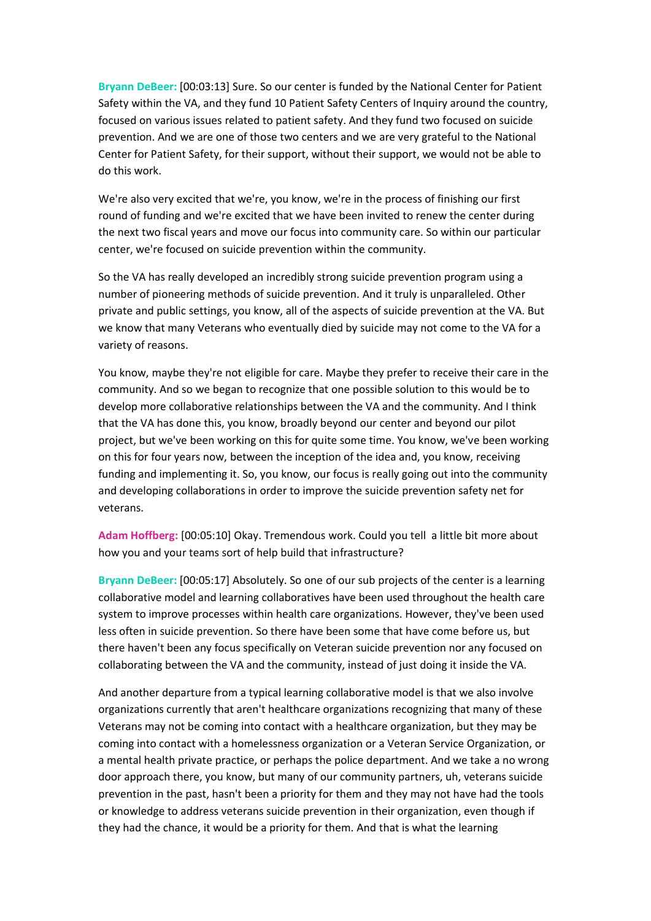**Bryann DeBeer:** [00:03:13] Sure. So our center is funded by the National Center for Patient Safety within the VA, and they fund 10 Patient Safety Centers of Inquiry around the country, focused on various issues related to patient safety. And they fund two focused on suicide prevention. And we are one of those two centers and we are very grateful to the National Center for Patient Safety, for their support, without their support, we would not be able to do this work.

We're also very excited that we're, you know, we're in the process of finishing our first round of funding and we're excited that we have been invited to renew the center during the next two fiscal years and move our focus into community care. So within our particular center, we're focused on suicide prevention within the community.

So the VA has really developed an incredibly strong suicide prevention program using a number of pioneering methods of suicide prevention. And it truly is unparalleled. Other private and public settings, you know, all of the aspects of suicide prevention at the VA. But we know that many Veterans who eventually died by suicide may not come to the VA for a variety of reasons.

You know, maybe they're not eligible for care. Maybe they prefer to receive their care in the community. And so we began to recognize that one possible solution to this would be to develop more collaborative relationships between the VA and the community. And I think that the VA has done this, you know, broadly beyond our center and beyond our pilot project, but we've been working on this for quite some time. You know, we've been working on this for four years now, between the inception of the idea and, you know, receiving funding and implementing it. So, you know, our focus is really going out into the community and developing collaborations in order to improve the suicide prevention safety net for veterans.

**Adam Hoffberg:** [00:05:10] Okay. Tremendous work. Could you tell a little bit more about how you and your teams sort of help build that infrastructure?

**Bryann DeBeer:** [00:05:17] Absolutely. So one of our sub projects of the center is a learning collaborative model and learning collaboratives have been used throughout the health care system to improve processes within health care organizations. However, they've been used less often in suicide prevention. So there have been some that have come before us, but there haven't been any focus specifically on Veteran suicide prevention nor any focused on collaborating between the VA and the community, instead of just doing it inside the VA.

And another departure from a typical learning collaborative model is that we also involve organizations currently that aren't healthcare organizations recognizing that many of these Veterans may not be coming into contact with a healthcare organization, but they may be coming into contact with a homelessness organization or a Veteran Service Organization, or a mental health private practice, or perhaps the police department. And we take a no wrong door approach there, you know, but many of our community partners, uh, veterans suicide prevention in the past, hasn't been a priority for them and they may not have had the tools or knowledge to address veterans suicide prevention in their organization, even though if they had the chance, it would be a priority for them. And that is what the learning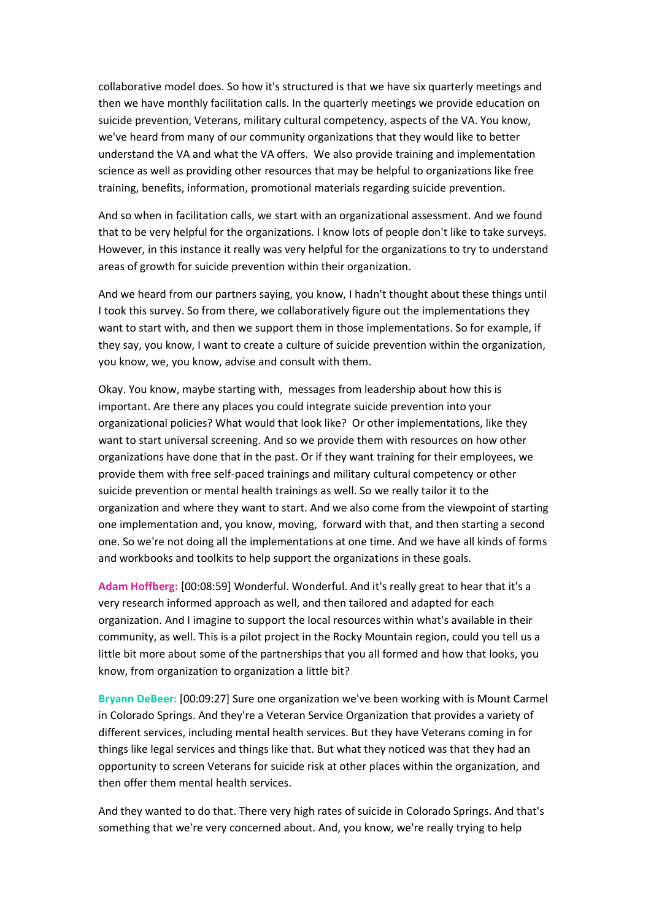collaborative model does. So how it's structured is that we have six quarterly meetings and then we have monthly facilitation calls. In the quarterly meetings we provide education on suicide prevention, Veterans, military cultural competency, aspects of the VA. You know, we've heard from many of our community organizations that they would like to better understand the VA and what the VA offers. We also provide training and implementation science as well as providing other resources that may be helpful to organizations like free training, benefits, information, promotional materials regarding suicide prevention.

And so when in facilitation calls, we start with an organizational assessment. And we found that to be very helpful for the organizations. I know lots of people don't like to take surveys. However, in this instance it really was very helpful for the organizations to try to understand areas of growth for suicide prevention within their organization.

And we heard from our partners saying, you know, I hadn't thought about these things until I took this survey. So from there, we collaboratively figure out the implementations they want to start with, and then we support them in those implementations. So for example, if they say, you know, I want to create a culture of suicide prevention within the organization, you know, we, you know, advise and consult with them.

Okay. You know, maybe starting with, messages from leadership about how this is important. Are there any places you could integrate suicide prevention into your organizational policies? What would that look like? Or other implementations, like they want to start universal screening. And so we provide them with resources on how other organizations have done that in the past. Or if they want training for their employees, we provide them with free self-paced trainings and military cultural competency or other suicide prevention or mental health trainings as well. So we really tailor it to the organization and where they want to start. And we also come from the viewpoint of starting one implementation and, you know, moving, forward with that, and then starting a second one. So we're not doing all the implementations at one time. And we have all kinds of forms and workbooks and toolkits to help support the organizations in these goals.

**Adam Hoffberg:** [00:08:59] Wonderful. Wonderful. And it's really great to hear that it's a very research informed approach as well, and then tailored and adapted for each organization. And I imagine to support the local resources within what's available in their community, as well. This is a pilot project in the Rocky Mountain region, could you tell us a little bit more about some of the partnerships that you all formed and how that looks, you know, from organization to organization a little bit?

**Bryann DeBeer:** [00:09:27] Sure one organization we've been working with is Mount Carmel in Colorado Springs. And they're a Veteran Service Organization that provides a variety of different services, including mental health services. But they have Veterans coming in for things like legal services and things like that. But what they noticed was that they had an opportunity to screen Veterans for suicide risk at other places within the organization, and then offer them mental health services.

And they wanted to do that. There very high rates of suicide in Colorado Springs. And that's something that we're very concerned about. And, you know, we're really trying to help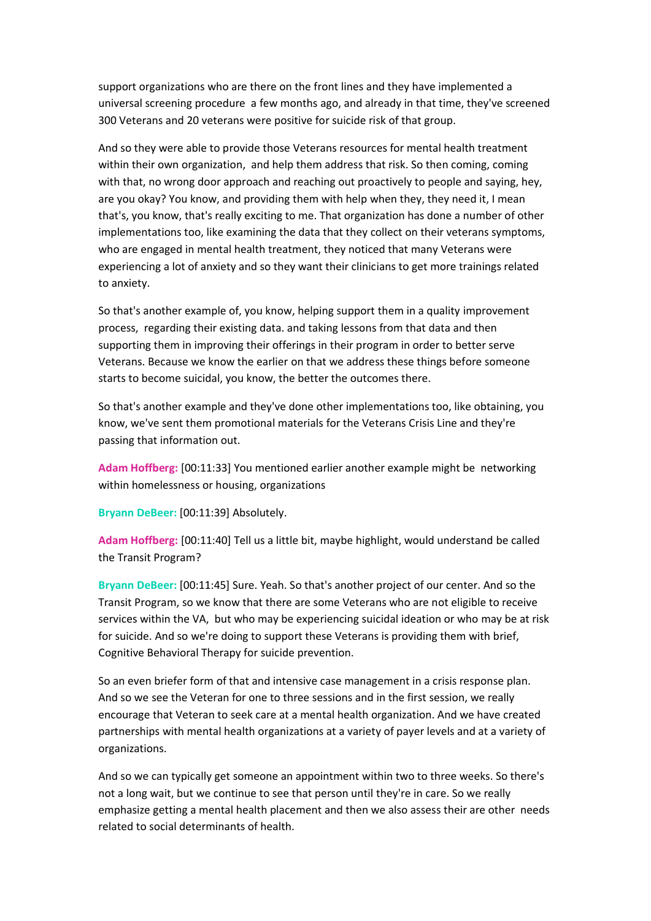support organizations who are there on the front lines and they have implemented a universal screening procedure a few months ago, and already in that time, they've screened 300 Veterans and 20 veterans were positive for suicide risk of that group.

And so they were able to provide those Veterans resources for mental health treatment within their own organization, and help them address that risk. So then coming, coming with that, no wrong door approach and reaching out proactively to people and saying, hey, are you okay? You know, and providing them with help when they, they need it, I mean that's, you know, that's really exciting to me. That organization has done a number of other implementations too, like examining the data that they collect on their veterans symptoms, who are engaged in mental health treatment, they noticed that many Veterans were experiencing a lot of anxiety and so they want their clinicians to get more trainings related to anxiety.

So that's another example of, you know, helping support them in a quality improvement process, regarding their existing data. and taking lessons from that data and then supporting them in improving their offerings in their program in order to better serve Veterans. Because we know the earlier on that we address these things before someone starts to become suicidal, you know, the better the outcomes there.

So that's another example and they've done other implementations too, like obtaining, you know, we've sent them promotional materials for the Veterans Crisis Line and they're passing that information out.

**Adam Hoffberg:** [00:11:33] You mentioned earlier another example might be networking within homelessness or housing, organizations

**Bryann DeBeer:** [00:11:39] Absolutely.

**Adam Hoffberg:** [00:11:40] Tell us a little bit, maybe highlight, would understand be called the Transit Program?

**Bryann DeBeer:** [00:11:45] Sure. Yeah. So that's another project of our center. And so the Transit Program, so we know that there are some Veterans who are not eligible to receive services within the VA, but who may be experiencing suicidal ideation or who may be at risk for suicide. And so we're doing to support these Veterans is providing them with brief, Cognitive Behavioral Therapy for suicide prevention.

So an even briefer form of that and intensive case management in a crisis response plan. And so we see the Veteran for one to three sessions and in the first session, we really encourage that Veteran to seek care at a mental health organization. And we have created partnerships with mental health organizations at a variety of payer levels and at a variety of organizations.

And so we can typically get someone an appointment within two to three weeks. So there's not a long wait, but we continue to see that person until they're in care. So we really emphasize getting a mental health placement and then we also assess their are other needs related to social determinants of health.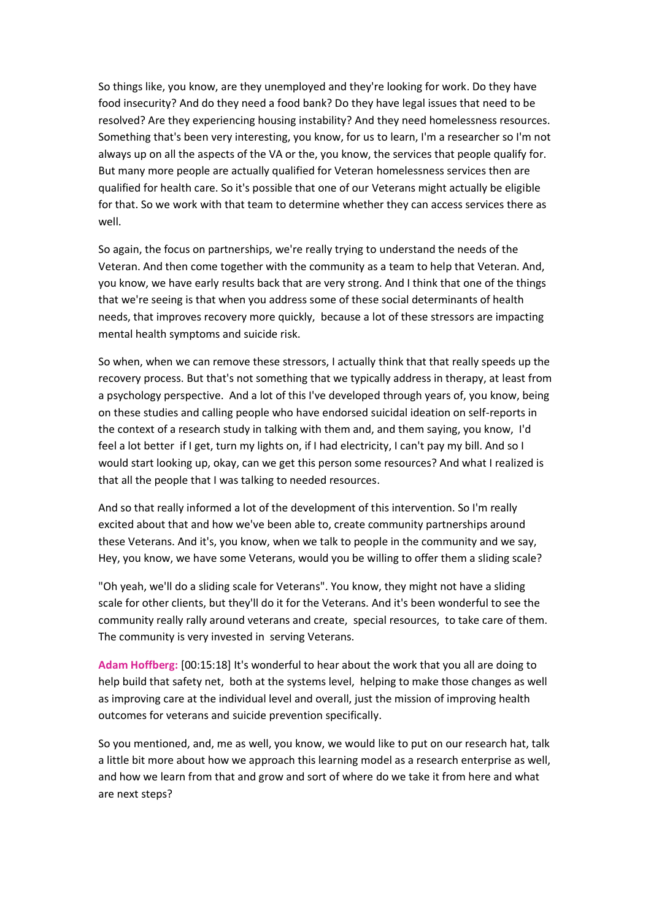So things like, you know, are they unemployed and they're looking for work. Do they have food insecurity? And do they need a food bank? Do they have legal issues that need to be resolved? Are they experiencing housing instability? And they need homelessness resources. Something that's been very interesting, you know, for us to learn, I'm a researcher so I'm not always up on all the aspects of the VA or the, you know, the services that people qualify for. But many more people are actually qualified for Veteran homelessness services then are qualified for health care. So it's possible that one of our Veterans might actually be eligible for that. So we work with that team to determine whether they can access services there as well.

So again, the focus on partnerships, we're really trying to understand the needs of the Veteran. And then come together with the community as a team to help that Veteran. And, you know, we have early results back that are very strong. And I think that one of the things that we're seeing is that when you address some of these social determinants of health needs, that improves recovery more quickly, because a lot of these stressors are impacting mental health symptoms and suicide risk.

So when, when we can remove these stressors, I actually think that that really speeds up the recovery process. But that's not something that we typically address in therapy, at least from a psychology perspective. And a lot of this I've developed through years of, you know, being on these studies and calling people who have endorsed suicidal ideation on self-reports in the context of a research study in talking with them and, and them saying, you know, I'd feel a lot better if I get, turn my lights on, if I had electricity, I can't pay my bill. And so I would start looking up, okay, can we get this person some resources? And what I realized is that all the people that I was talking to needed resources.

And so that really informed a lot of the development of this intervention. So I'm really excited about that and how we've been able to, create community partnerships around these Veterans. And it's, you know, when we talk to people in the community and we say, Hey, you know, we have some Veterans, would you be willing to offer them a sliding scale?

"Oh yeah, we'll do a sliding scale for Veterans". You know, they might not have a sliding scale for other clients, but they'll do it for the Veterans. And it's been wonderful to see the community really rally around veterans and create, special resources, to take care of them. The community is very invested in serving Veterans.

**Adam Hoffberg:** [00:15:18] It's wonderful to hear about the work that you all are doing to help build that safety net, both at the systems level, helping to make those changes as well as improving care at the individual level and overall, just the mission of improving health outcomes for veterans and suicide prevention specifically.

So you mentioned, and, me as well, you know, we would like to put on our research hat, talk a little bit more about how we approach this learning model as a research enterprise as well, and how we learn from that and grow and sort of where do we take it from here and what are next steps?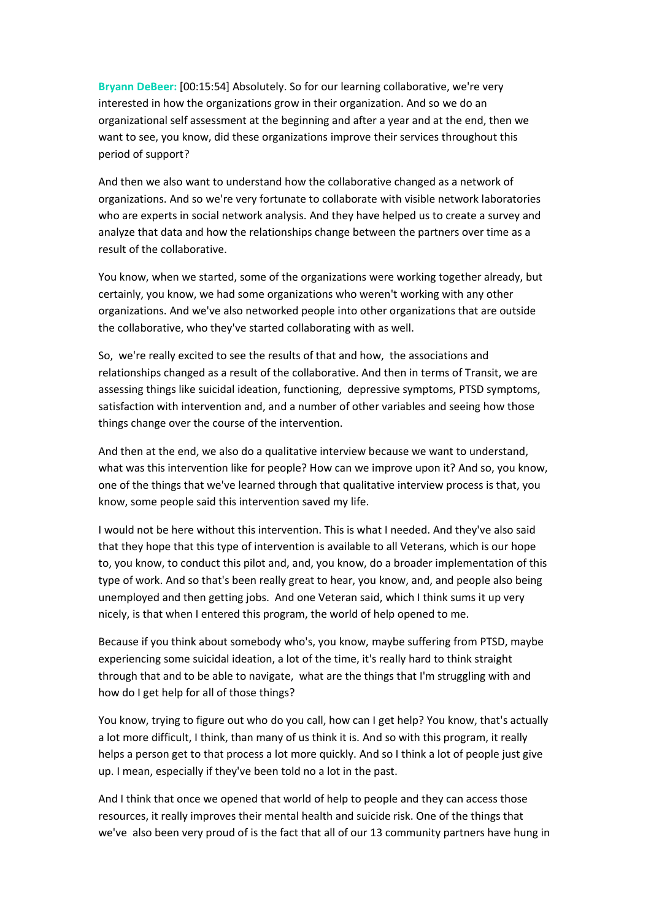**Bryann DeBeer:** [00:15:54] Absolutely. So for our learning collaborative, we're very interested in how the organizations grow in their organization. And so we do an organizational self assessment at the beginning and after a year and at the end, then we want to see, you know, did these organizations improve their services throughout this period of support?

And then we also want to understand how the collaborative changed as a network of organizations. And so we're very fortunate to collaborate with visible network laboratories who are experts in social network analysis. And they have helped us to create a survey and analyze that data and how the relationships change between the partners over time as a result of the collaborative.

You know, when we started, some of the organizations were working together already, but certainly, you know, we had some organizations who weren't working with any other organizations. And we've also networked people into other organizations that are outside the collaborative, who they've started collaborating with as well.

So, we're really excited to see the results of that and how, the associations and relationships changed as a result of the collaborative. And then in terms of Transit, we are assessing things like suicidal ideation, functioning, depressive symptoms, PTSD symptoms, satisfaction with intervention and, and a number of other variables and seeing how those things change over the course of the intervention.

And then at the end, we also do a qualitative interview because we want to understand, what was this intervention like for people? How can we improve upon it? And so, you know, one of the things that we've learned through that qualitative interview process is that, you know, some people said this intervention saved my life.

I would not be here without this intervention. This is what I needed. And they've also said that they hope that this type of intervention is available to all Veterans, which is our hope to, you know, to conduct this pilot and, and, you know, do a broader implementation of this type of work. And so that's been really great to hear, you know, and, and people also being unemployed and then getting jobs. And one Veteran said, which I think sums it up very nicely, is that when I entered this program, the world of help opened to me.

Because if you think about somebody who's, you know, maybe suffering from PTSD, maybe experiencing some suicidal ideation, a lot of the time, it's really hard to think straight through that and to be able to navigate, what are the things that I'm struggling with and how do I get help for all of those things?

You know, trying to figure out who do you call, how can I get help? You know, that's actually a lot more difficult, I think, than many of us think it is. And so with this program, it really helps a person get to that process a lot more quickly. And so I think a lot of people just give up. I mean, especially if they've been told no a lot in the past.

And I think that once we opened that world of help to people and they can access those resources, it really improves their mental health and suicide risk. One of the things that we've also been very proud of is the fact that all of our 13 community partners have hung in